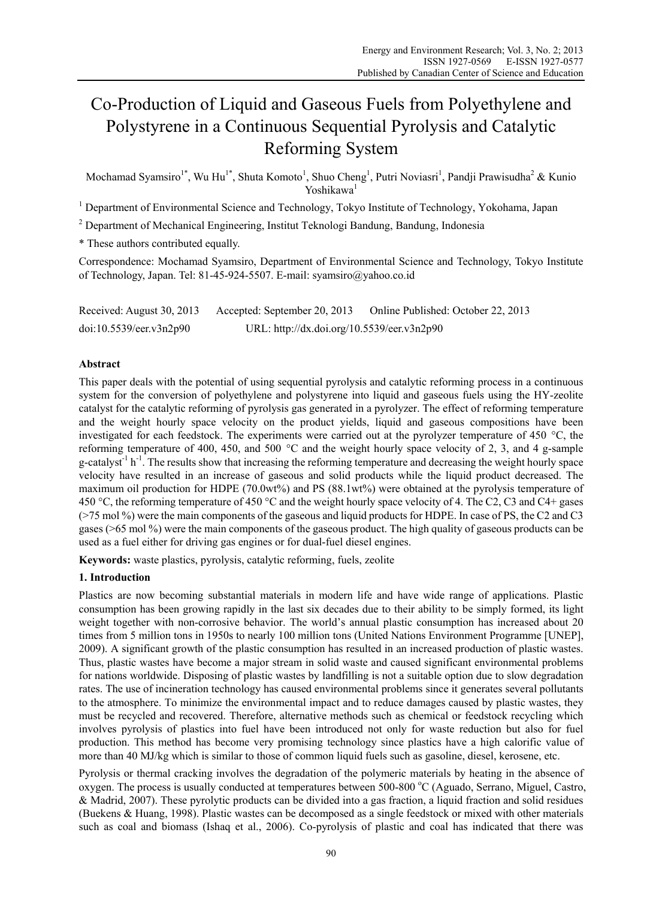# Co-Production of Liquid and Gaseous Fuels from Polyethylene and Polystyrene in a Continuous Sequential Pyrolysis and Catalytic Reforming System

Mochamad Syamsiro<sup>1\*</sup>, Wu Hu<sup>1\*</sup>, Shuta Komoto<sup>1</sup>, Shuo Cheng<sup>1</sup>, Putri Noviasri<sup>1</sup>, Pandji Prawisudha<sup>2</sup> & Kunio Yoshikawa1

<sup>1</sup> Department of Environmental Science and Technology, Tokyo Institute of Technology, Yokohama, Japan

<sup>2</sup> Department of Mechanical Engineering, Institut Teknologi Bandung, Bandung, Indonesia

\* These authors contributed equally.

Correspondence: Mochamad Syamsiro, Department of Environmental Science and Technology, Tokyo Institute of Technology, Japan. Tel: 81-45-924-5507. E-mail: syamsiro@yahoo.co.id

| Received: August 30, 2013 | Accepted: September 20, 2013               | Online Published: October 22, 2013 |
|---------------------------|--------------------------------------------|------------------------------------|
| doi:10.5539/eer.v3n2p90   | URL: http://dx.doi.org/10.5539/eer.v3n2p90 |                                    |

# **Abstract**

This paper deals with the potential of using sequential pyrolysis and catalytic reforming process in a continuous system for the conversion of polyethylene and polystyrene into liquid and gaseous fuels using the HY-zeolite catalyst for the catalytic reforming of pyrolysis gas generated in a pyrolyzer. The effect of reforming temperature and the weight hourly space velocity on the product yields, liquid and gaseous compositions have been investigated for each feedstock. The experiments were carried out at the pyrolyzer temperature of 450 °C, the reforming temperature of 400, 450, and 500 °C and the weight hourly space velocity of 2, 3, and 4 g-sample g-catalyst<sup>-1</sup> h<sup>-1</sup>. The results show that increasing the reforming temperature and decreasing the weight hourly space velocity have resulted in an increase of gaseous and solid products while the liquid product decreased. The maximum oil production for HDPE (70.0wt%) and PS (88.1wt%) were obtained at the pyrolysis temperature of 450 °C, the reforming temperature of 450 °C and the weight hourly space velocity of 4. The C2, C3 and C4+ gases (>75 mol %) were the main components of the gaseous and liquid products for HDPE. In case of PS, the C2 and C3 gases (>65 mol %) were the main components of the gaseous product. The high quality of gaseous products can be used as a fuel either for driving gas engines or for dual-fuel diesel engines.

**Keywords:** waste plastics, pyrolysis, catalytic reforming, fuels, zeolite

# **1. Introduction**

Plastics are now becoming substantial materials in modern life and have wide range of applications. Plastic consumption has been growing rapidly in the last six decades due to their ability to be simply formed, its light weight together with non-corrosive behavior. The world's annual plastic consumption has increased about 20 times from 5 million tons in 1950s to nearly 100 million tons (United Nations Environment Programme [UNEP], 2009). A significant growth of the plastic consumption has resulted in an increased production of plastic wastes. Thus, plastic wastes have become a major stream in solid waste and caused significant environmental problems for nations worldwide. Disposing of plastic wastes by landfilling is not a suitable option due to slow degradation rates. The use of incineration technology has caused environmental problems since it generates several pollutants to the atmosphere. To minimize the environmental impact and to reduce damages caused by plastic wastes, they must be recycled and recovered. Therefore, alternative methods such as chemical or feedstock recycling which involves pyrolysis of plastics into fuel have been introduced not only for waste reduction but also for fuel production. This method has become very promising technology since plastics have a high calorific value of more than 40 MJ/kg which is similar to those of common liquid fuels such as gasoline, diesel, kerosene, etc.

Pyrolysis or thermal cracking involves the degradation of the polymeric materials by heating in the absence of oxygen. The process is usually conducted at temperatures between 500-800 °C (Aguado, Serrano, Miguel, Castro, & Madrid, 2007). These pyrolytic products can be divided into a gas fraction, a liquid fraction and solid residues (Buekens & Huang, 1998). Plastic wastes can be decomposed as a single feedstock or mixed with other materials such as coal and biomass (Ishaq et al., 2006). Co-pyrolysis of plastic and coal has indicated that there was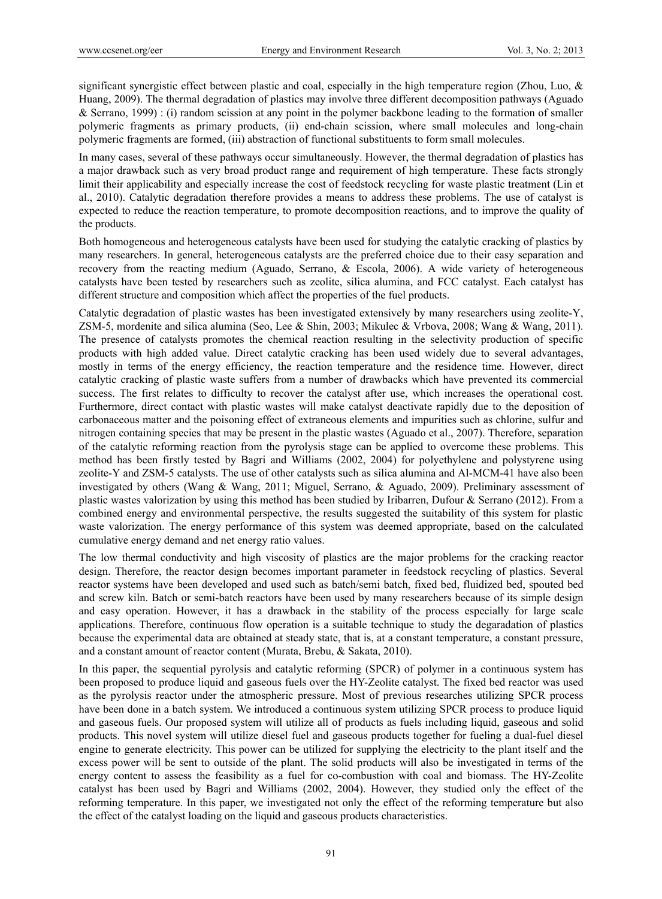significant synergistic effect between plastic and coal, especially in the high temperature region (Zhou, Luo, & Huang, 2009). The thermal degradation of plastics may involve three different decomposition pathways (Aguado & Serrano, 1999) : (i) random scission at any point in the polymer backbone leading to the formation of smaller polymeric fragments as primary products, (ii) end-chain scission, where small molecules and long-chain polymeric fragments are formed, (iii) abstraction of functional substituents to form small molecules.

In many cases, several of these pathways occur simultaneously. However, the thermal degradation of plastics has a major drawback such as very broad product range and requirement of high temperature. These facts strongly limit their applicability and especially increase the cost of feedstock recycling for waste plastic treatment (Lin et al., 2010). Catalytic degradation therefore provides a means to address these problems. The use of catalyst is expected to reduce the reaction temperature, to promote decomposition reactions, and to improve the quality of the products.

Both homogeneous and heterogeneous catalysts have been used for studying the catalytic cracking of plastics by many researchers. In general, heterogeneous catalysts are the preferred choice due to their easy separation and recovery from the reacting medium (Aguado, Serrano, & Escola, 2006). A wide variety of heterogeneous catalysts have been tested by researchers such as zeolite, silica alumina, and FCC catalyst. Each catalyst has different structure and composition which affect the properties of the fuel products.

Catalytic degradation of plastic wastes has been investigated extensively by many researchers using zeolite-Y, ZSM-5, mordenite and silica alumina (Seo, Lee & Shin, 2003; Mikulec & Vrbova, 2008; Wang & Wang, 2011). The presence of catalysts promotes the chemical reaction resulting in the selectivity production of specific products with high added value. Direct catalytic cracking has been used widely due to several advantages, mostly in terms of the energy efficiency, the reaction temperature and the residence time. However, direct catalytic cracking of plastic waste suffers from a number of drawbacks which have prevented its commercial success. The first relates to difficulty to recover the catalyst after use, which increases the operational cost. Furthermore, direct contact with plastic wastes will make catalyst deactivate rapidly due to the deposition of carbonaceous matter and the poisoning effect of extraneous elements and impurities such as chlorine, sulfur and nitrogen containing species that may be present in the plastic wastes (Aguado et al., 2007). Therefore, separation of the catalytic reforming reaction from the pyrolysis stage can be applied to overcome these problems. This method has been firstly tested by Bagri and Williams (2002, 2004) for polyethylene and polystyrene using zeolite-Y and ZSM-5 catalysts. The use of other catalysts such as silica alumina and Al-MCM-41 have also been investigated by others (Wang & Wang, 2011; Miguel, Serrano, & Aguado, 2009). Preliminary assessment of plastic wastes valorization by using this method has been studied by Iribarren, Dufour & Serrano (2012). From a combined energy and environmental perspective, the results suggested the suitability of this system for plastic waste valorization. The energy performance of this system was deemed appropriate, based on the calculated cumulative energy demand and net energy ratio values.

The low thermal conductivity and high viscosity of plastics are the major problems for the cracking reactor design. Therefore, the reactor design becomes important parameter in feedstock recycling of plastics. Several reactor systems have been developed and used such as batch/semi batch, fixed bed, fluidized bed, spouted bed and screw kiln. Batch or semi-batch reactors have been used by many researchers because of its simple design and easy operation. However, it has a drawback in the stability of the process especially for large scale applications. Therefore, continuous flow operation is a suitable technique to study the degaradation of plastics because the experimental data are obtained at steady state, that is, at a constant temperature, a constant pressure, and a constant amount of reactor content (Murata, Brebu, & Sakata, 2010).

In this paper, the sequential pyrolysis and catalytic reforming (SPCR) of polymer in a continuous system has been proposed to produce liquid and gaseous fuels over the HY-Zeolite catalyst. The fixed bed reactor was used as the pyrolysis reactor under the atmospheric pressure. Most of previous researches utilizing SPCR process have been done in a batch system. We introduced a continuous system utilizing SPCR process to produce liquid and gaseous fuels. Our proposed system will utilize all of products as fuels including liquid, gaseous and solid products. This novel system will utilize diesel fuel and gaseous products together for fueling a dual-fuel diesel engine to generate electricity. This power can be utilized for supplying the electricity to the plant itself and the excess power will be sent to outside of the plant. The solid products will also be investigated in terms of the energy content to assess the feasibility as a fuel for co-combustion with coal and biomass. The HY-Zeolite catalyst has been used by Bagri and Williams (2002, 2004). However, they studied only the effect of the reforming temperature. In this paper, we investigated not only the effect of the reforming temperature but also the effect of the catalyst loading on the liquid and gaseous products characteristics.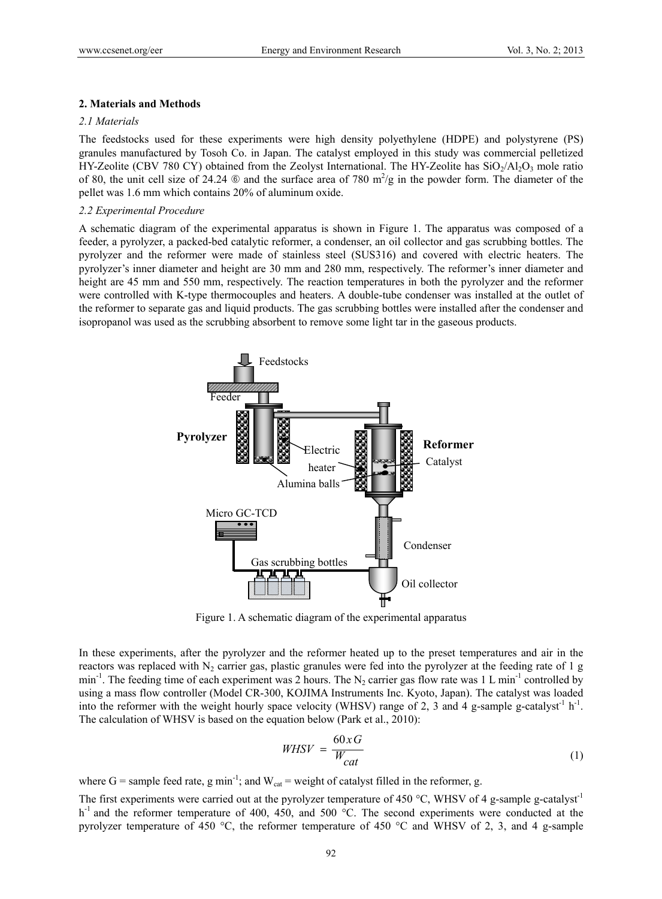# **2. Materials and Methods**

## *2.1 Materials*

The feedstocks used for these experiments were high density polyethylene (HDPE) and polystyrene (PS) granules manufactured by Tosoh Co. in Japan. The catalyst employed in this study was commercial pelletized HY-Zeolite (CBV 780 CY) obtained from the Zeolyst International. The HY-Zeolite has  $SiO<sub>2</sub>/Al<sub>2</sub>O<sub>3</sub>$  mole ratio of 80, the unit cell size of 24.24  $\circledcirc$  and the surface area of 780 m<sup>2</sup>/g in the powder form. The diameter of the pellet was 1.6 mm which contains 20% of aluminum oxide.

## *2.2 Experimental Procedure*

A schematic diagram of the experimental apparatus is shown in Figure 1. The apparatus was composed of a feeder, a pyrolyzer, a packed-bed catalytic reformer, a condenser, an oil collector and gas scrubbing bottles. The pyrolyzer and the reformer were made of stainless steel (SUS316) and covered with electric heaters. The pyrolyzer's inner diameter and height are 30 mm and 280 mm, respectively. The reformer's inner diameter and height are 45 mm and 550 mm, respectively. The reaction temperatures in both the pyrolyzer and the reformer were controlled with K-type thermocouples and heaters. A double-tube condenser was installed at the outlet of the reformer to separate gas and liquid products. The gas scrubbing bottles were installed after the condenser and isopropanol was used as the scrubbing absorbent to remove some light tar in the gaseous products.



Figure 1. A schematic diagram of the experimental apparatus

In these experiments, after the pyrolyzer and the reformer heated up to the preset temperatures and air in the reactors was replaced with  $N_2$  carrier gas, plastic granules were fed into the pyrolyzer at the feeding rate of 1 g min<sup>-1</sup>. The feeding time of each experiment was 2 hours. The N<sub>2</sub> carrier gas flow rate was 1 L min<sup>-1</sup> controlled by using a mass flow controller (Model CR-300, KOJIMA Instruments Inc. Kyoto, Japan). The catalyst was loaded into the reformer with the weight hourly space velocity (WHSV) range of 2, 3 and 4 g-sample g-catalyst<sup>-1</sup> h<sup>-1</sup>. The calculation of WHSV is based on the equation below (Park et al., 2010):

$$
WHSV = \frac{60 \times G}{W_{cat}} \tag{1}
$$

where G = sample feed rate, g min<sup>-1</sup>; and  $W_{cat}$  = weight of catalyst filled in the reformer, g.

The first experiments were carried out at the pyrolyzer temperature of 450  $^{\circ}$ C, WHSV of 4 g-sample g-catalyst<sup>-1</sup> h<sup>-1</sup> and the reformer temperature of 400, 450, and 500 °C. The second experiments were conducted at the pyrolyzer temperature of 450 °C, the reformer temperature of 450 °C and WHSV of 2, 3, and 4 g-sample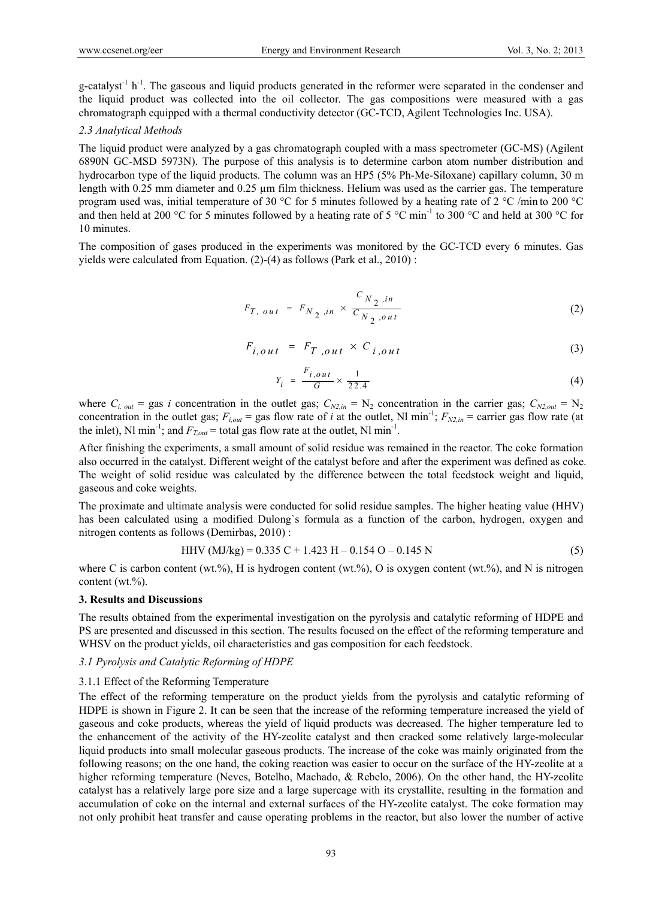g-catalyst<sup>-1</sup> h<sup>-1</sup>. The gaseous and liquid products generated in the reformer were separated in the condenser and the liquid product was collected into the oil collector. The gas compositions were measured with a gas chromatograph equipped with a thermal conductivity detector (GC-TCD, Agilent Technologies Inc. USA).

# *2.3 Analytical Methods*

The liquid product were analyzed by a gas chromatograph coupled with a mass spectrometer (GC-MS) (Agilent 6890N GC-MSD 5973N). The purpose of this analysis is to determine carbon atom number distribution and hydrocarbon type of the liquid products. The column was an HP5 (5% Ph-Me-Siloxane) capillary column, 30 m length with 0.25 mm diameter and 0.25 um film thickness. Helium was used as the carrier gas. The temperature program used was, initial temperature of 30 °C for 5 minutes followed by a heating rate of 2 °C /min to 200 °C and then held at 200 °C for 5 minutes followed by a heating rate of 5 °C min<sup>-1</sup> to 300 °C and held at 300 °C for 10 minutes.

The composition of gases produced in the experiments was monitored by the GC-TCD every 6 minutes. Gas yields were calculated from Equation. (2)-(4) as follows (Park et al., 2010) :

$$
F_{T, out} = F_{N_2,in} \times \frac{C_{N_2,in}}{C_{N_2,out}}
$$
 (2)

$$
F_{i,out} = F_{T,out} \times C_{i,out}
$$
 (3)

$$
Y_i = \frac{F_{i,out}}{G} \times \frac{1}{22.4}
$$
 (4)

where  $C_{i, out}$  = gas *i* concentration in the outlet gas;  $C_{N2,in}$  = N<sub>2</sub> concentration in the carrier gas;  $C_{N2,out}$  = N<sub>2</sub> concentration in the outlet gas;  $F_{i,out}$  = gas flow rate of *i* at the outlet, Nl min<sup>-1</sup>;  $F_{N2,in}$  = carrier gas flow rate (at the inlet), Nl min<sup>-1</sup>; and  $F_{Tout}$  = total gas flow rate at the outlet, Nl min<sup>-1</sup>.

After finishing the experiments, a small amount of solid residue was remained in the reactor. The coke formation also occurred in the catalyst. Different weight of the catalyst before and after the experiment was defined as coke. The weight of solid residue was calculated by the difference between the total feedstock weight and liquid, gaseous and coke weights.

The proximate and ultimate analysis were conducted for solid residue samples. The higher heating value (HHV) has been calculated using a modified Dulong`s formula as a function of the carbon, hydrogen, oxygen and nitrogen contents as follows (Demirbas, 2010) :

$$
HHV (MJ/kg) = 0.335 C + 1.423 H - 0.154 O - 0.145 N
$$
 (5)

where C is carbon content (wt.%), H is hydrogen content (wt.%), O is oxygen content (wt.%), and N is nitrogen content (wt.%).

## **3. Results and Discussions**

The results obtained from the experimental investigation on the pyrolysis and catalytic reforming of HDPE and PS are presented and discussed in this section. The results focused on the effect of the reforming temperature and WHSV on the product yields, oil characteristics and gas composition for each feedstock.

### *3.1 Pyrolysis and Catalytic Reforming of HDPE*

## 3.1.1 Effect of the Reforming Temperature

The effect of the reforming temperature on the product yields from the pyrolysis and catalytic reforming of HDPE is shown in Figure 2. It can be seen that the increase of the reforming temperature increased the yield of gaseous and coke products, whereas the yield of liquid products was decreased. The higher temperature led to the enhancement of the activity of the HY-zeolite catalyst and then cracked some relatively large-molecular liquid products into small molecular gaseous products. The increase of the coke was mainly originated from the following reasons; on the one hand, the coking reaction was easier to occur on the surface of the HY-zeolite at a higher reforming temperature (Neves, Botelho, Machado, & Rebelo, 2006). On the other hand, the HY-zeolite catalyst has a relatively large pore size and a large supercage with its crystallite, resulting in the formation and accumulation of coke on the internal and external surfaces of the HY-zeolite catalyst. The coke formation may not only prohibit heat transfer and cause operating problems in the reactor, but also lower the number of active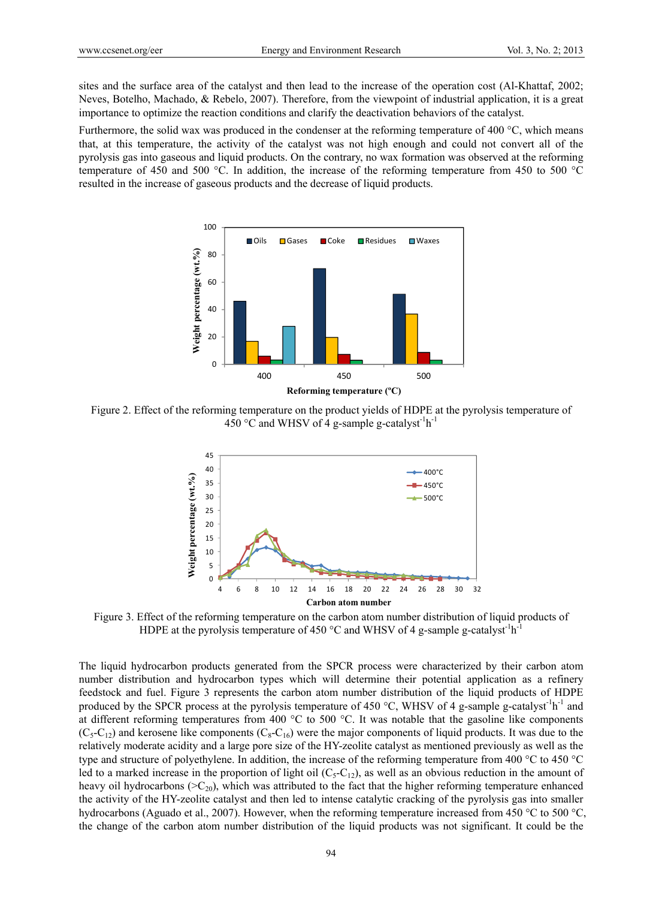sites and the surface area of the catalyst and then lead to the increase of the operation cost (Al-Khattaf, 2002; Neves, Botelho, Machado, & Rebelo, 2007). Therefore, from the viewpoint of industrial application, it is a great importance to optimize the reaction conditions and clarify the deactivation behaviors of the catalyst.

Furthermore, the solid wax was produced in the condenser at the reforming temperature of 400 °C, which means that, at this temperature, the activity of the catalyst was not high enough and could not convert all of the pyrolysis gas into gaseous and liquid products. On the contrary, no wax formation was observed at the reforming temperature of 450 and 500 °C. In addition, the increase of the reforming temperature from 450 to 500 °C resulted in the increase of gaseous products and the decrease of liquid products.



Figure 2. Effect of the reforming temperature on the product yields of HDPE at the pyrolysis temperature of 450 °C and WHSV of 4 g-sample g-catalyst<sup>-1</sup>h<sup>-1</sup>



Figure 3. Effect of the reforming temperature on the carbon atom number distribution of liquid products of HDPE at the pyrolysis temperature of 450  $^{\circ}$ C and WHSV of 4 g-sample g-catalyst<sup>-1</sup>h<sup>-1</sup>

The liquid hydrocarbon products generated from the SPCR process were characterized by their carbon atom number distribution and hydrocarbon types which will determine their potential application as a refinery feedstock and fuel. Figure 3 represents the carbon atom number distribution of the liquid products of HDPE produced by the SPCR process at the pyrolysis temperature of 450 °C, WHSV of 4 g-sample g-catalyst<sup>-1</sup>h<sup>-1</sup> and at different reforming temperatures from 400 °C to 500 °C. It was notable that the gasoline like components  $(C_5-C_{12})$  and kerosene like components  $(C_8-C_{16})$  were the major components of liquid products. It was due to the relatively moderate acidity and a large pore size of the HY-zeolite catalyst as mentioned previously as well as the type and structure of polyethylene. In addition, the increase of the reforming temperature from 400 °C to 450 °C led to a marked increase in the proportion of light oil  $(C_5-C_{12})$ , as well as an obvious reduction in the amount of heavy oil hydrocarbons ( $>C_{20}$ ), which was attributed to the fact that the higher reforming temperature enhanced the activity of the HY-zeolite catalyst and then led to intense catalytic cracking of the pyrolysis gas into smaller hydrocarbons (Aguado et al., 2007). However, when the reforming temperature increased from 450 °C to 500 °C, the change of the carbon atom number distribution of the liquid products was not significant. It could be the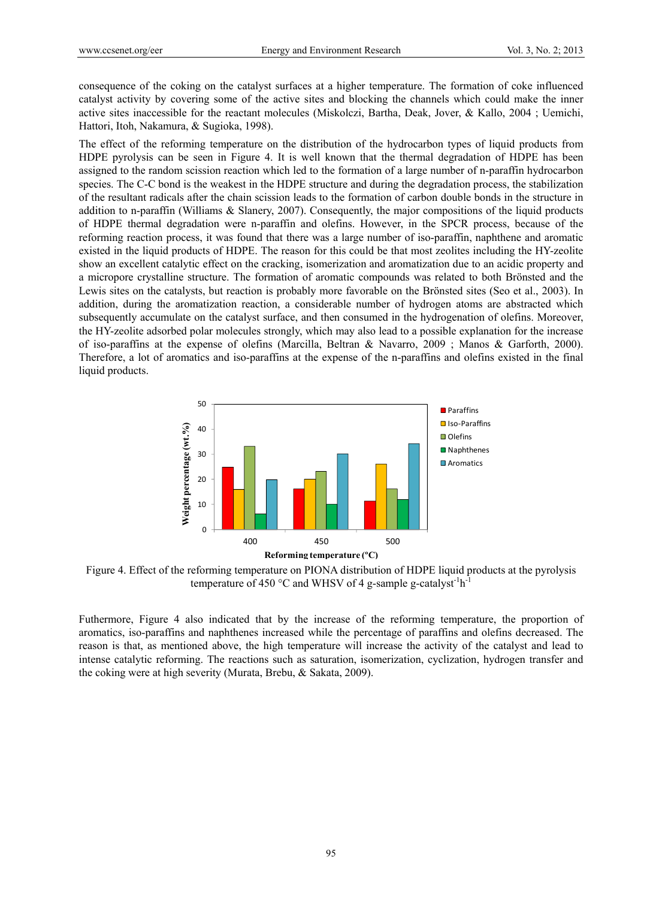consequence of the coking on the catalyst surfaces at a higher temperature. The formation of coke influenced catalyst activity by covering some of the active sites and blocking the channels which could make the inner active sites inaccessible for the reactant molecules (Miskolczi, Bartha, Deak, Jover, & Kallo, 2004 ; Uemichi, Hattori, Itoh, Nakamura, & Sugioka, 1998).

The effect of the reforming temperature on the distribution of the hydrocarbon types of liquid products from HDPE pyrolysis can be seen in Figure 4. It is well known that the thermal degradation of HDPE has been assigned to the random scission reaction which led to the formation of a large number of n-paraffin hydrocarbon species. The C-C bond is the weakest in the HDPE structure and during the degradation process, the stabilization of the resultant radicals after the chain scission leads to the formation of carbon double bonds in the structure in addition to n-paraffin (Williams & Slanery, 2007). Consequently, the major compositions of the liquid products of HDPE thermal degradation were n-paraffin and olefins. However, in the SPCR process, because of the reforming reaction process, it was found that there was a large number of iso-paraffin, naphthene and aromatic existed in the liquid products of HDPE. The reason for this could be that most zeolites including the HY-zeolite show an excellent catalytic effect on the cracking, isomerization and aromatization due to an acidic property and a micropore crystalline structure. The formation of aromatic compounds was related to both Brönsted and the Lewis sites on the catalysts, but reaction is probably more favorable on the Brönsted sites (Seo et al., 2003). In addition, during the aromatization reaction, a considerable number of hydrogen atoms are abstracted which subsequently accumulate on the catalyst surface, and then consumed in the hydrogenation of olefins. Moreover, the HY-zeolite adsorbed polar molecules strongly, which may also lead to a possible explanation for the increase of iso-paraffins at the expense of olefins (Marcilla, Beltran & Navarro, 2009 ; Manos & Garforth, 2000). Therefore, a lot of aromatics and iso-paraffins at the expense of the n-paraffins and olefins existed in the final liquid products.



Figure 4. Effect of the reforming temperature on PIONA distribution of HDPE liquid products at the pyrolysis temperature of 450 °C and WHSV of 4 g-sample g-catalyst<sup>-1</sup>h<sup>-1</sup>

Futhermore, Figure 4 also indicated that by the increase of the reforming temperature, the proportion of aromatics, iso-paraffins and naphthenes increased while the percentage of paraffins and olefins decreased. The reason is that, as mentioned above, the high temperature will increase the activity of the catalyst and lead to intense catalytic reforming. The reactions such as saturation, isomerization, cyclization, hydrogen transfer and the coking were at high severity (Murata, Brebu, & Sakata, 2009).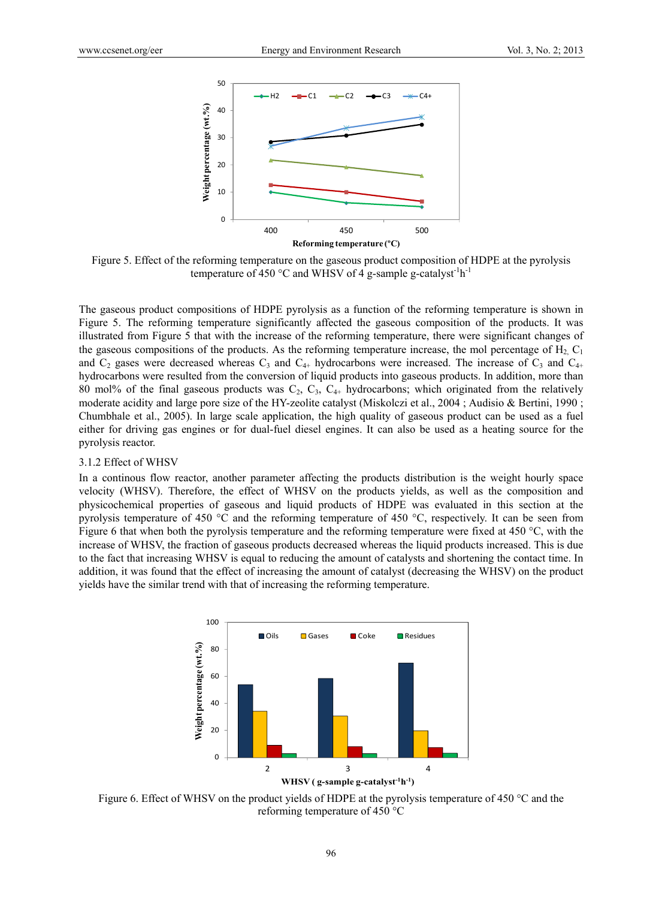

Figure 5. Effect of the reforming temperature on the gaseous product composition of HDPE at the pyrolysis temperature of 450 °C and WHSV of 4 g-sample g-catalyst<sup>-1</sup>h<sup>-1</sup>

The gaseous product compositions of HDPE pyrolysis as a function of the reforming temperature is shown in Figure 5. The reforming temperature significantly affected the gaseous composition of the products. It was illustrated from Figure 5 that with the increase of the reforming temperature, there were significant changes of the gaseous compositions of the products. As the reforming temperature increase, the mol percentage of  $H_2$ ,  $C_1$ and  $C_2$  gases were decreased whereas  $C_3$  and  $C_{4+}$  hydrocarbons were increased. The increase of  $C_3$  and  $C_{4+}$ hydrocarbons were resulted from the conversion of liquid products into gaseous products. In addition, more than 80 mol% of the final gaseous products was  $C_2$ ,  $C_3$ ,  $C_{4+}$  hydrocarbons; which originated from the relatively moderate acidity and large pore size of the HY-zeolite catalyst (Miskolczi et al., 2004 ; Audisio & Bertini, 1990 ; Chumbhale et al., 2005). In large scale application, the high quality of gaseous product can be used as a fuel either for driving gas engines or for dual-fuel diesel engines. It can also be used as a heating source for the pyrolysis reactor.

# 3.1.2 Effect of WHSV

In a continous flow reactor, another parameter affecting the products distribution is the weight hourly space velocity (WHSV). Therefore, the effect of WHSV on the products yields, as well as the composition and physicochemical properties of gaseous and liquid products of HDPE was evaluated in this section at the pyrolysis temperature of 450 °C and the reforming temperature of 450 °C, respectively. It can be seen from Figure 6 that when both the pyrolysis temperature and the reforming temperature were fixed at 450 °C, with the increase of WHSV, the fraction of gaseous products decreased whereas the liquid products increased. This is due to the fact that increasing WHSV is equal to reducing the amount of catalysts and shortening the contact time. In addition, it was found that the effect of increasing the amount of catalyst (decreasing the WHSV) on the product yields have the similar trend with that of increasing the reforming temperature.



Figure 6. Effect of WHSV on the product yields of HDPE at the pyrolysis temperature of 450 °C and the reforming temperature of 450 °C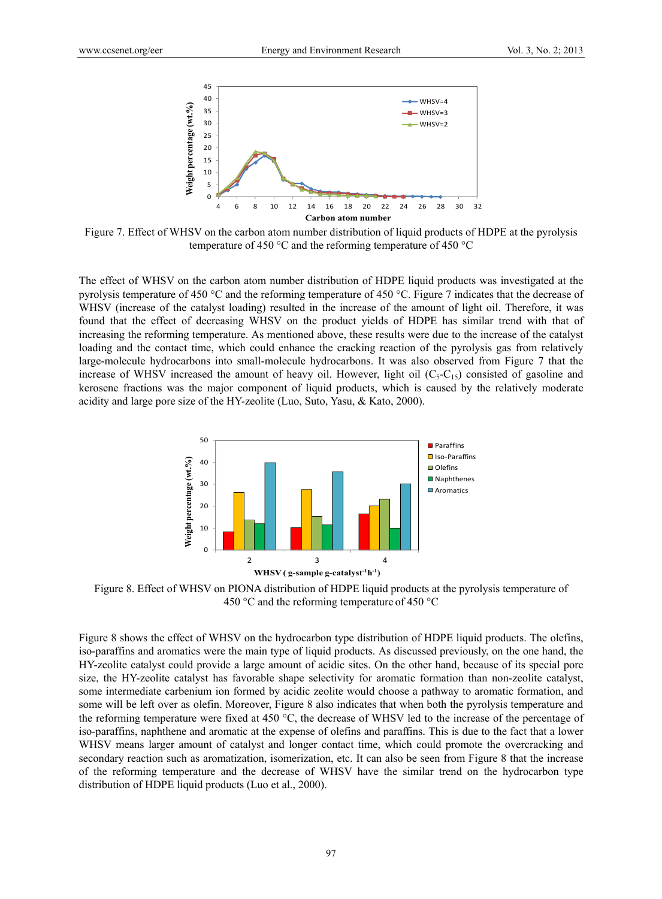

Figure 7. Effect of WHSV on the carbon atom number distribution of liquid products of HDPE at the pyrolysis temperature of 450 °C and the reforming temperature of 450 °C

The effect of WHSV on the carbon atom number distribution of HDPE liquid products was investigated at the pyrolysis temperature of 450 °C and the reforming temperature of 450 °C. Figure 7 indicates that the decrease of WHSV (increase of the catalyst loading) resulted in the increase of the amount of light oil. Therefore, it was found that the effect of decreasing WHSV on the product yields of HDPE has similar trend with that of increasing the reforming temperature. As mentioned above, these results were due to the increase of the catalyst loading and the contact time, which could enhance the cracking reaction of the pyrolysis gas from relatively large-molecule hydrocarbons into small-molecule hydrocarbons. It was also observed from Figure 7 that the increase of WHSV increased the amount of heavy oil. However, light oil  $(C_5-C_{15})$  consisted of gasoline and kerosene fractions was the major component of liquid products, which is caused by the relatively moderate acidity and large pore size of the HY-zeolite (Luo, Suto, Yasu, & Kato, 2000).



Figure 8. Effect of WHSV on PIONA distribution of HDPE liquid products at the pyrolysis temperature of 450 °C and the reforming temperature of 450 °C

Figure 8 shows the effect of WHSV on the hydrocarbon type distribution of HDPE liquid products. The olefins, iso-paraffins and aromatics were the main type of liquid products. As discussed previously, on the one hand, the HY-zeolite catalyst could provide a large amount of acidic sites. On the other hand, because of its special pore size, the HY-zeolite catalyst has favorable shape selectivity for aromatic formation than non-zeolite catalyst, some intermediate carbenium ion formed by acidic zeolite would choose a pathway to aromatic formation, and some will be left over as olefin. Moreover, Figure 8 also indicates that when both the pyrolysis temperature and the reforming temperature were fixed at 450 °C, the decrease of WHSV led to the increase of the percentage of iso-paraffins, naphthene and aromatic at the expense of olefins and paraffins. This is due to the fact that a lower WHSV means larger amount of catalyst and longer contact time, which could promote the overcracking and secondary reaction such as aromatization, isomerization, etc. It can also be seen from Figure 8 that the increase of the reforming temperature and the decrease of WHSV have the similar trend on the hydrocarbon type distribution of HDPE liquid products (Luo et al., 2000).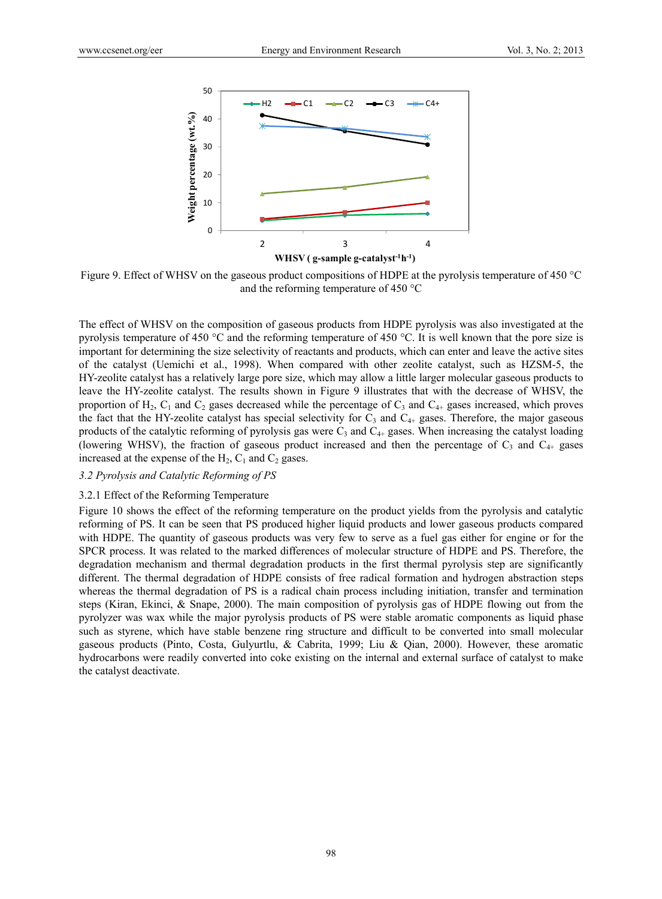

Figure 9. Effect of WHSV on the gaseous product compositions of HDPE at the pyrolysis temperature of 450 °C and the reforming temperature of 450 °C

The effect of WHSV on the composition of gaseous products from HDPE pyrolysis was also investigated at the pyrolysis temperature of 450 °C and the reforming temperature of 450 °C. It is well known that the pore size is important for determining the size selectivity of reactants and products, which can enter and leave the active sites of the catalyst (Uemichi et al., 1998). When compared with other zeolite catalyst, such as HZSM-5, the HY-zeolite catalyst has a relatively large pore size, which may allow a little larger molecular gaseous products to leave the HY-zeolite catalyst. The results shown in Figure 9 illustrates that with the decrease of WHSV, the proportion of  $H_2$ ,  $C_1$  and  $C_2$  gases decreased while the percentage of  $C_3$  and  $C_{4+}$  gases increased, which proves the fact that the HY-zeolite catalyst has special selectivity for  $C_3$  and  $C_{4+}$  gases. Therefore, the major gaseous products of the catalytic reforming of pyrolysis gas were  $C_3$  and  $C_{4+}$  gases. When increasing the catalyst loading (lowering WHSV), the fraction of gaseous product increased and then the percentage of  $C_3$  and  $C_{4+}$  gases increased at the expense of the  $H_2$ ,  $C_1$  and  $C_2$  gases.

## *3.2 Pyrolysis and Catalytic Reforming of PS*

## 3.2.1 Effect of the Reforming Temperature

Figure 10 shows the effect of the reforming temperature on the product yields from the pyrolysis and catalytic reforming of PS. It can be seen that PS produced higher liquid products and lower gaseous products compared with HDPE. The quantity of gaseous products was very few to serve as a fuel gas either for engine or for the SPCR process. It was related to the marked differences of molecular structure of HDPE and PS. Therefore, the degradation mechanism and thermal degradation products in the first thermal pyrolysis step are significantly different. The thermal degradation of HDPE consists of free radical formation and hydrogen abstraction steps whereas the thermal degradation of PS is a radical chain process including initiation, transfer and termination steps (Kiran, Ekinci, & Snape, 2000). The main composition of pyrolysis gas of HDPE flowing out from the pyrolyzer was wax while the major pyrolysis products of PS were stable aromatic components as liquid phase such as styrene, which have stable benzene ring structure and difficult to be converted into small molecular gaseous products (Pinto, Costa, Gulyurtlu, & Cabrita, 1999; Liu & Qian, 2000). However, these aromatic hydrocarbons were readily converted into coke existing on the internal and external surface of catalyst to make the catalyst deactivate.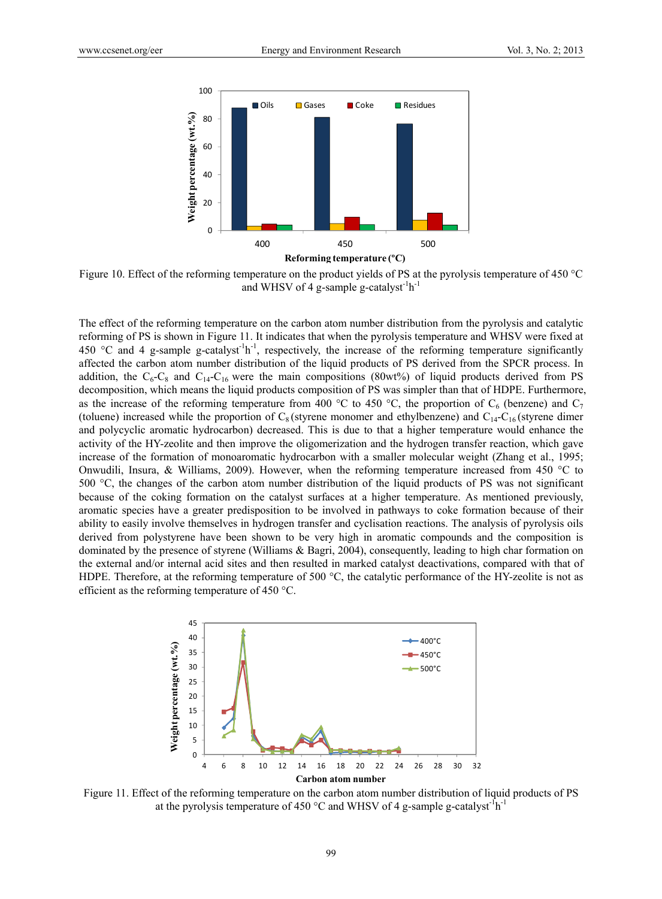

Figure 10. Effect of the reforming temperature on the product yields of PS at the pyrolysis temperature of 450 °C and WHSV of 4 g-sample g-catalyst<sup>-1</sup>h<sup>-1</sup>

The effect of the reforming temperature on the carbon atom number distribution from the pyrolysis and catalytic reforming of PS is shown in Figure 11. It indicates that when the pyrolysis temperature and WHSV were fixed at 450 °C and 4 g-sample g-catalyst<sup>-1</sup>h<sup>-1</sup>, respectively, the increase of the reforming temperature significantly affected the carbon atom number distribution of the liquid products of PS derived from the SPCR process. In addition, the  $C_6-C_8$  and  $C_{14}-C_{16}$  were the main compositions (80wt%) of liquid products derived from PS decomposition, which means the liquid products composition of PS was simpler than that of HDPE. Furthermore, as the increase of the reforming temperature from 400 °C to 450 °C, the proportion of  $C_6$  (benzene) and  $C_7$ (toluene) increased while the proportion of  $C_8$  (styrene monomer and ethylbenzene) and  $C_{14}-C_{16}$  (styrene dimer and polycyclic aromatic hydrocarbon) decreased. This is due to that a higher temperature would enhance the activity of the HY-zeolite and then improve the oligomerization and the hydrogen transfer reaction, which gave increase of the formation of monoaromatic hydrocarbon with a smaller molecular weight (Zhang et al., 1995; Onwudili, Insura, & Williams, 2009). However, when the reforming temperature increased from 450 °C to 500 °C, the changes of the carbon atom number distribution of the liquid products of PS was not significant because of the coking formation on the catalyst surfaces at a higher temperature. As mentioned previously, aromatic species have a greater predisposition to be involved in pathways to coke formation because of their ability to easily involve themselves in hydrogen transfer and cyclisation reactions. The analysis of pyrolysis oils derived from polystyrene have been shown to be very high in aromatic compounds and the composition is dominated by the presence of styrene (Williams & Bagri, 2004), consequently, leading to high char formation on the external and/or internal acid sites and then resulted in marked catalyst deactivations, compared with that of HDPE. Therefore, at the reforming temperature of 500 °C, the catalytic performance of the HY-zeolite is not as efficient as the reforming temperature of 450 °C.



Figure 11. Effect of the reforming temperature on the carbon atom number distribution of liquid products of PS at the pyrolysis temperature of 450  $^{\circ}$ C and WHSV of 4 g-sample g-catalyst<sup>-1</sup>h<sup>-1</sup>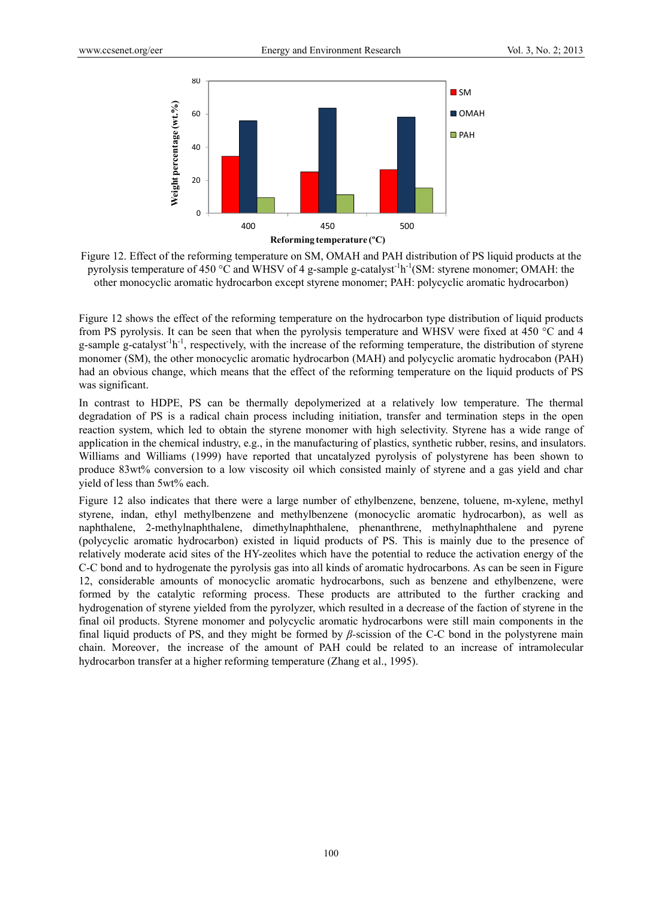

Figure 12. Effect of the reforming temperature on SM, OMAH and PAH distribution of PS liquid products at the pyrolysis temperature of 450 °C and WHSV of 4 g-sample g-catalyst<sup>-1</sup>h<sup>-1</sup>(SM: styrene monomer; OMAH: the other monocyclic aromatic hydrocarbon except styrene monomer; PAH: polycyclic aromatic hydrocarbon)

Figure 12 shows the effect of the reforming temperature on the hydrocarbon type distribution of liquid products from PS pyrolysis. It can be seen that when the pyrolysis temperature and WHSV were fixed at 450 °C and 4 g-sample g-catalyst<sup>-1</sup>h<sup>-1</sup>, respectively, with the increase of the reforming temperature, the distribution of styrene monomer (SM), the other monocyclic aromatic hydrocarbon (MAH) and polycyclic aromatic hydrocabon (PAH) had an obvious change, which means that the effect of the reforming temperature on the liquid products of PS was significant.

In contrast to HDPE, PS can be thermally depolymerized at a relatively low temperature. The thermal degradation of PS is a radical chain process including initiation, transfer and termination steps in the open reaction system, which led to obtain the styrene monomer with high selectivity. Styrene has a wide range of application in the chemical industry, e.g., in the manufacturing of plastics, synthetic rubber, resins, and insulators. Williams and Williams (1999) have reported that uncatalyzed pyrolysis of polystyrene has been shown to produce 83wt% conversion to a low viscosity oil which consisted mainly of styrene and a gas yield and char yield of less than 5wt% each.

Figure 12 also indicates that there were a large number of ethylbenzene, benzene, toluene, m-xylene, methyl styrene, indan, ethyl methylbenzene and methylbenzene (monocyclic aromatic hydrocarbon), as well as naphthalene, 2-methylnaphthalene, dimethylnaphthalene, phenanthrene, methylnaphthalene and pyrene (polycyclic aromatic hydrocarbon) existed in liquid products of PS. This is mainly due to the presence of relatively moderate acid sites of the HY-zeolites which have the potential to reduce the activation energy of the C-C bond and to hydrogenate the pyrolysis gas into all kinds of aromatic hydrocarbons. As can be seen in Figure 12, considerable amounts of monocyclic aromatic hydrocarbons, such as benzene and ethylbenzene, were formed by the catalytic reforming process. These products are attributed to the further cracking and hydrogenation of styrene yielded from the pyrolyzer, which resulted in a decrease of the faction of styrene in the final oil products. Styrene monomer and polycyclic aromatic hydrocarbons were still main components in the final liquid products of PS, and they might be formed by *β-*scission of the C-C bond in the polystyrene main chain. Moreover, the increase of the amount of PAH could be related to an increase of intramolecular hydrocarbon transfer at a higher reforming temperature (Zhang et al., 1995).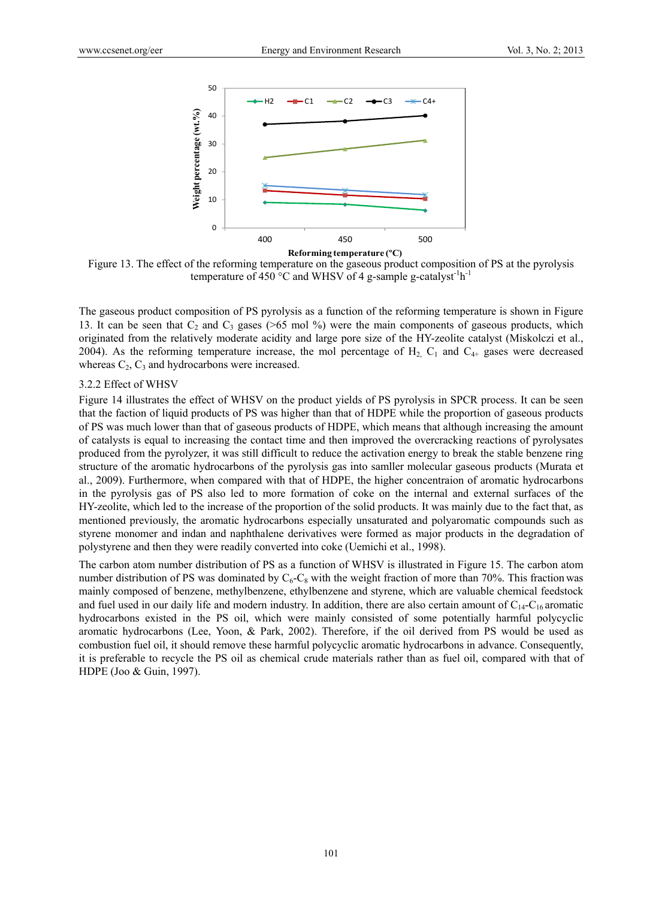

Figure 13. The effect of the reforming temperature on the gaseous product composition of PS at the pyrolysis temperature of 450 °C and WHSV of 4 g-sample g-catalyst<sup>-1</sup>h<sup>-1</sup>

The gaseous product composition of PS pyrolysis as a function of the reforming temperature is shown in Figure 13. It can be seen that  $C_2$  and  $C_3$  gases (>65 mol %) were the main components of gaseous products, which originated from the relatively moderate acidity and large pore size of the HY-zeolite catalyst (Miskolczi et al., 2004). As the reforming temperature increase, the mol percentage of  $H_2$ ,  $C_1$  and  $C_{4+}$  gases were decreased whereas  $C_2$ ,  $C_3$  and hydrocarbons were increased.

## 3.2.2 Effect of WHSV

Figure 14 illustrates the effect of WHSV on the product yields of PS pyrolysis in SPCR process. It can be seen that the faction of liquid products of PS was higher than that of HDPE while the proportion of gaseous products of PS was much lower than that of gaseous products of HDPE, which means that although increasing the amount of catalysts is equal to increasing the contact time and then improved the overcracking reactions of pyrolysates produced from the pyrolyzer, it was still difficult to reduce the activation energy to break the stable benzene ring structure of the aromatic hydrocarbons of the pyrolysis gas into samller molecular gaseous products (Murata et al., 2009). Furthermore, when compared with that of HDPE, the higher concentraion of aromatic hydrocarbons in the pyrolysis gas of PS also led to more formation of coke on the internal and external surfaces of the HY-zeolite, which led to the increase of the proportion of the solid products. It was mainly due to the fact that, as mentioned previously, the aromatic hydrocarbons especially unsaturated and polyaromatic compounds such as styrene monomer and indan and naphthalene derivatives were formed as major products in the degradation of polystyrene and then they were readily converted into coke (Uemichi et al., 1998).

The carbon atom number distribution of PS as a function of WHSV is illustrated in Figure 15. The carbon atom number distribution of PS was dominated by  $C_6-C_8$  with the weight fraction of more than 70%. This fraction was mainly composed of benzene, methylbenzene, ethylbenzene and styrene, which are valuable chemical feedstock and fuel used in our daily life and modern industry. In addition, there are also certain amount of  $C_{14}$ - $C_{16}$  aromatic hydrocarbons existed in the PS oil, which were mainly consisted of some potentially harmful polycyclic aromatic hydrocarbons (Lee, Yoon, & Park, 2002). Therefore, if the oil derived from PS would be used as combustion fuel oil, it should remove these harmful polycyclic aromatic hydrocarbons in advance. Consequently, it is preferable to recycle the PS oil as chemical crude materials rather than as fuel oil, compared with that of HDPE (Joo & Guin, 1997).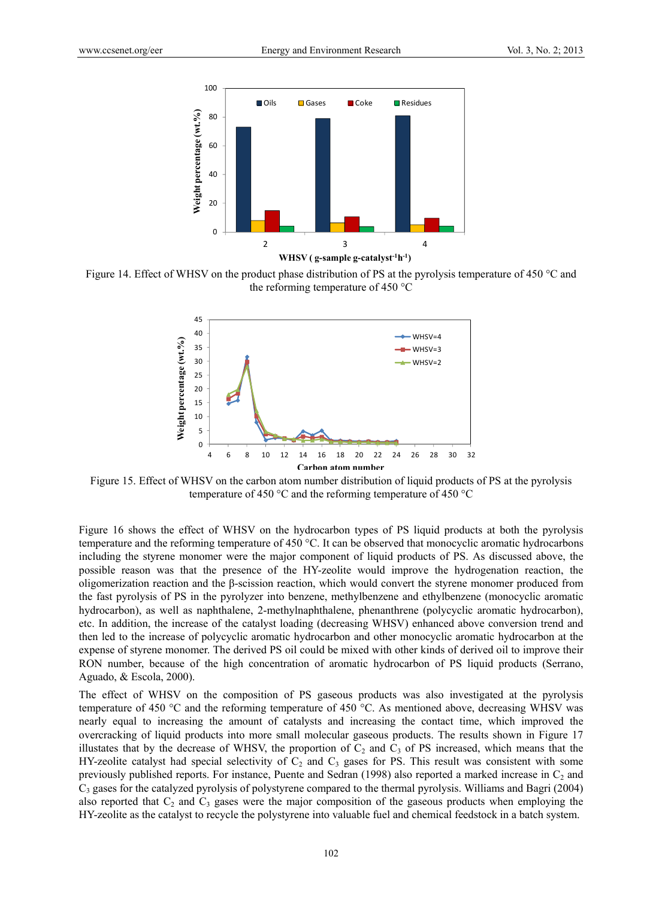

Figure 14. Effect of WHSV on the product phase distribution of PS at the pyrolysis temperature of 450 °C and the reforming temperature of 450 °C



Figure 15. Effect of WHSV on the carbon atom number distribution of liquid products of PS at the pyrolysis temperature of 450 °C and the reforming temperature of 450 °C

Figure 16 shows the effect of WHSV on the hydrocarbon types of PS liquid products at both the pyrolysis temperature and the reforming temperature of 450 °C. It can be observed that monocyclic aromatic hydrocarbons including the styrene monomer were the major component of liquid products of PS. As discussed above, the possible reason was that the presence of the HY-zeolite would improve the hydrogenation reaction, the oligomerization reaction and the β-scission reaction, which would convert the styrene monomer produced from the fast pyrolysis of PS in the pyrolyzer into benzene, methylbenzene and ethylbenzene (monocyclic aromatic hydrocarbon), as well as naphthalene, 2-methylnaphthalene, phenanthrene (polycyclic aromatic hydrocarbon), etc. In addition, the increase of the catalyst loading (decreasing WHSV) enhanced above conversion trend and then led to the increase of polycyclic aromatic hydrocarbon and other monocyclic aromatic hydrocarbon at the expense of styrene monomer. The derived PS oil could be mixed with other kinds of derived oil to improve their RON number, because of the high concentration of aromatic hydrocarbon of PS liquid products (Serrano, Aguado, & Escola, 2000).

The effect of WHSV on the composition of PS gaseous products was also investigated at the pyrolysis temperature of 450 °C and the reforming temperature of 450 °C. As mentioned above, decreasing WHSV was nearly equal to increasing the amount of catalysts and increasing the contact time, which improved the overcracking of liquid products into more small molecular gaseous products. The results shown in Figure 17 illustates that by the decrease of WHSV, the proportion of  $C_2$  and  $C_3$  of PS increased, which means that the HY-zeolite catalyst had special selectivity of  $C_2$  and  $C_3$  gases for PS. This result was consistent with some previously published reports. For instance, Puente and Sedran (1998) also reported a marked increase in  $C_2$  and  $C_3$  gases for the catalyzed pyrolysis of polystyrene compared to the thermal pyrolysis. Williams and Bagri (2004) also reported that  $C_2$  and  $C_3$  gases were the major composition of the gaseous products when employing the HY-zeolite as the catalyst to recycle the polystyrene into valuable fuel and chemical feedstock in a batch system.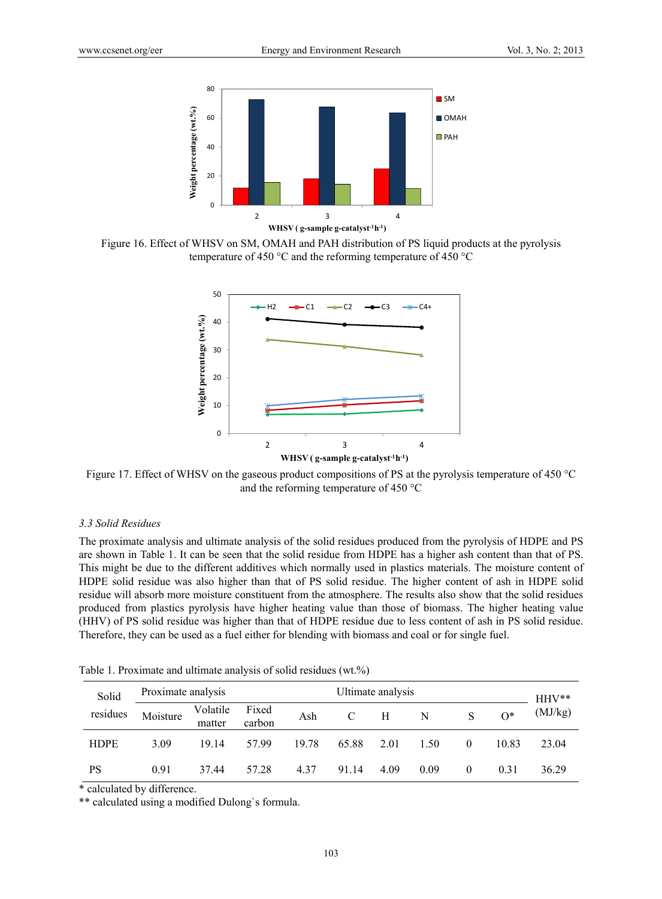

Figure 16. Effect of WHSV on SM, OMAH and PAH distribution of PS liquid products at the pyrolysis temperature of 450 °C and the reforming temperature of 450 °C



Figure 17. Effect of WHSV on the gaseous product compositions of PS at the pyrolysis temperature of 450 °C and the reforming temperature of 450 °C

#### *3.3 Solid Residues*

The proximate analysis and ultimate analysis of the solid residues produced from the pyrolysis of HDPE and PS are shown in Table 1. It can be seen that the solid residue from HDPE has a higher ash content than that of PS. This might be due to the different additives which normally used in plastics materials. The moisture content of HDPE solid residue was also higher than that of PS solid residue. The higher content of ash in HDPE solid residue will absorb more moisture constituent from the atmosphere. The results also show that the solid residues produced from plastics pyrolysis have higher heating value than those of biomass. The higher heating value (HHV) of PS solid residue was higher than that of HDPE residue due to less content of ash in PS solid residue. Therefore, they can be used as a fuel either for blending with biomass and coal or for single fuel.

| Solid<br>residues | Proximate analysis<br>Ultimate analysis |                    |                 |       |       |      | $HHV**$ |          |       |         |
|-------------------|-----------------------------------------|--------------------|-----------------|-------|-------|------|---------|----------|-------|---------|
|                   | Moisture                                | Volatile<br>matter | Fixed<br>carbon | Ash   |       | H    | N       |          | $O^*$ | (MJ/kg) |
| <b>HDPE</b>       | 3.09                                    | 19.14              | 57.99           | 19.78 | 65.88 | 2.01 | 1.50    | $\theta$ | 10.83 | 23.04   |
| PS                | 0.91                                    | 37.44              | 57.28           | 4.37  | 91.14 | 4.09 | 0.09    | 0        | 0.31  | 36.29   |

Table 1. Proximate and ultimate analysis of solid residues (wt.%)

\* calculated by difference.

\*\* calculated using a modified Dulong`s formula.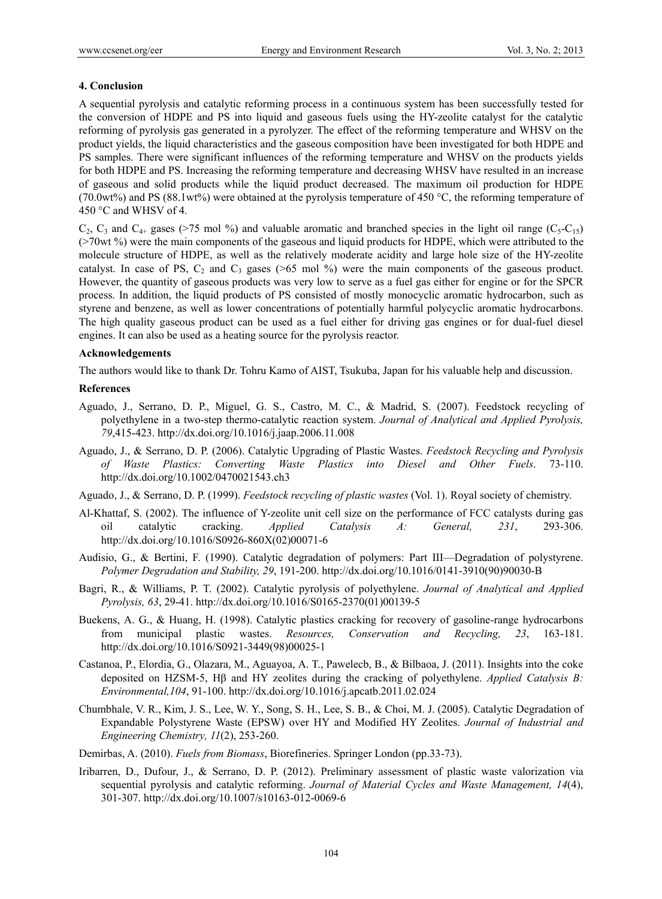# **4. Conclusion**

A sequential pyrolysis and catalytic reforming process in a continuous system has been successfully tested for the conversion of HDPE and PS into liquid and gaseous fuels using the HY-zeolite catalyst for the catalytic reforming of pyrolysis gas generated in a pyrolyzer. The effect of the reforming temperature and WHSV on the product yields, the liquid characteristics and the gaseous composition have been investigated for both HDPE and PS samples. There were significant influences of the reforming temperature and WHSV on the products yields for both HDPE and PS. Increasing the reforming temperature and decreasing WHSV have resulted in an increase of gaseous and solid products while the liquid product decreased. The maximum oil production for HDPE (70.0wt%) and PS (88.1wt%) were obtained at the pyrolysis temperature of 450 °C, the reforming temperature of 450 °C and WHSV of 4.

 $C_2$ ,  $C_3$  and  $C_{4+}$  gases (>75 mol %) and valuable aromatic and branched species in the light oil range ( $C_5-C_{15}$ ) (>70wt %) were the main components of the gaseous and liquid products for HDPE, which were attributed to the molecule structure of HDPE, as well as the relatively moderate acidity and large hole size of the HY-zeolite catalyst. In case of PS,  $C_2$  and  $C_3$  gases (>65 mol %) were the main components of the gaseous product. However, the quantity of gaseous products was very low to serve as a fuel gas either for engine or for the SPCR process. In addition, the liquid products of PS consisted of mostly monocyclic aromatic hydrocarbon, such as styrene and benzene, as well as lower concentrations of potentially harmful polycyclic aromatic hydrocarbons. The high quality gaseous product can be used as a fuel either for driving gas engines or for dual-fuel diesel engines. It can also be used as a heating source for the pyrolysis reactor.

# **Acknowledgements**

The authors would like to thank Dr. Tohru Kamo of AIST, Tsukuba, Japan for his valuable help and discussion.

# **References**

- Aguado, J., Serrano, D. P., Miguel, G. S., Castro, M. C., & Madrid, S. (2007). Feedstock recycling of polyethylene in a two-step thermo-catalytic reaction system. *Journal of Analytical and Applied Pyrolysis, 79*,415-423. http://dx.doi.org/10.1016/j.jaap.2006.11.008
- Aguado, J., & Serrano, D. P. (2006). Catalytic Upgrading of Plastic Wastes. *Feedstock Recycling and Pyrolysis of Waste Plastics: Converting Waste Plastics into Diesel and Other Fuels*. 73-110. http://dx.doi.org/10.1002/0470021543.ch3
- Aguado, J., & Serrano, D. P. (1999). *Feedstock recycling of plastic wastes* (Vol. 1). Royal society of chemistry.
- Al-Khattaf, S. (2002). The influence of Y-zeolite unit cell size on the performance of FCC catalysts during gas oil catalytic cracking. *Applied Catalysis A: General, 231*, 293-306. http://dx.doi.org/10.1016/S0926-860X(02)00071-6
- Audisio, G., & Bertini, F. (1990). Catalytic degradation of polymers: Part III—Degradation of polystyrene. *Polymer Degradation and Stability, 29*, 191-200. http://dx.doi.org/10.1016/0141-3910(90)90030-B
- Bagri, R., & Williams, P. T. (2002). Catalytic pyrolysis of polyethylene. *Journal of Analytical and Applied Pyrolysis, 63*, 29-41. http://dx.doi.org/10.1016/S0165-2370(01)00139-5
- Buekens, A. G., & Huang, H. (1998). Catalytic plastics cracking for recovery of gasoline-range hydrocarbons from municipal plastic wastes. *Resources, Conservation and Recycling, 23*, 163-181. http://dx.doi.org/10.1016/S0921-3449(98)00025-1
- Castanoa, P., Elordia, G., Olazara, M., Aguayoa, A. T., Pawelecb, B., & Bilbaoa, J. (2011). Insights into the coke deposited on HZSM-5, Hβ and HY zeolites during the cracking of polyethylene. *Applied Catalysis B: Environmental,104*, 91-100. http://dx.doi.org/10.1016/j.apcatb.2011.02.024
- Chumbhale, V. R., Kim, J. S., Lee, W. Y., Song, S. H., Lee, S. B., & Choi, M. J. (2005). Catalytic Degradation of Expandable Polystyrene Waste (EPSW) over HY and Modified HY Zeolites. *Journal of Industrial and Engineering Chemistry, 11*(2), 253-260.
- Demirbas, A. (2010). *Fuels from Biomass*, Biorefineries. Springer London (pp.33-73).
- Iribarren, D., Dufour, J., & Serrano, D. P. (2012). Preliminary assessment of plastic waste valorization via sequential pyrolysis and catalytic reforming. *Journal of Material Cycles and Waste Management, 14*(4), 301-307. http://dx.doi.org/10.1007/s10163-012-0069-6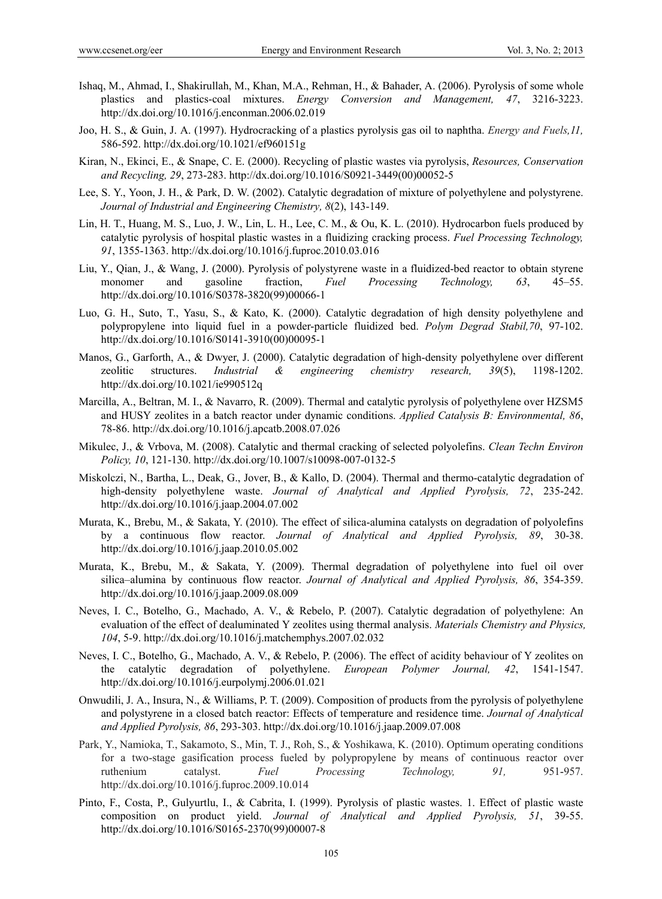- Ishaq, M., Ahmad, I., Shakirullah, M., Khan, M.A., Rehman, H., & Bahader, A. (2006). Pyrolysis of some whole plastics and plastics-coal mixtures. *Energy Conversion and Management, 47*, 3216-3223. http://dx.doi.org/10.1016/j.enconman.2006.02.019
- Joo, H. S., & Guin, J. A. (1997). Hydrocracking of a plastics pyrolysis gas oil to naphtha. *Energy and Fuels,11,* 586-592. http://dx.doi.org/10.1021/ef960151g
- Kiran, N., Ekinci, E., & Snape, C. E. (2000). Recycling of plastic wastes via pyrolysis, *Resources, Conservation and Recycling, 29*, 273-283. http://dx.doi.org/10.1016/S0921-3449(00)00052-5
- Lee, S. Y., Yoon, J. H., & Park, D. W. (2002). Catalytic degradation of mixture of polyethylene and polystyrene. *Journal of Industrial and Engineering Chemistry, 8*(2), 143-149.
- Lin, H. T., Huang, M. S., Luo, J. W., Lin, L. H., Lee, C. M., & Ou, K. L. (2010). Hydrocarbon fuels produced by catalytic pyrolysis of hospital plastic wastes in a fluidizing cracking process. *Fuel Processing Technology, 91*, 1355-1363. http://dx.doi.org/10.1016/j.fuproc.2010.03.016
- Liu, Y., Qian, J., & Wang, J. (2000). Pyrolysis of polystyrene waste in a fluidized-bed reactor to obtain styrene monomer and gasoline fraction, *Fuel Processing Technology, 63*, 45–55. http://dx.doi.org/10.1016/S0378-3820(99)00066-1
- Luo, G. H., Suto, T., Yasu, S., & Kato, K. (2000). Catalytic degradation of high density polyethylene and polypropylene into liquid fuel in a powder-particle fluidized bed. *Polym Degrad Stabil,70*, 97-102. http://dx.doi.org/10.1016/S0141-3910(00)00095-1
- Manos, G., Garforth, A., & Dwyer, J. (2000). Catalytic degradation of high-density polyethylene over different zeolitic structures. *Industrial & engineering chemistry research, 39*(5), 1198-1202. http://dx.doi.org/10.1021/ie990512q
- Marcilla, A., Beltran, M. I., & Navarro, R. (2009). Thermal and catalytic pyrolysis of polyethylene over HZSM5 and HUSY zeolites in a batch reactor under dynamic conditions. *Applied Catalysis B: Environmental, 86*, 78-86. http://dx.doi.org/10.1016/j.apcatb.2008.07.026
- Mikulec, J., & Vrbova, M. (2008). Catalytic and thermal cracking of selected polyolefins. *Clean Techn Environ Policy, 10*, 121-130. http://dx.doi.org/10.1007/s10098-007-0132-5
- Miskolczi, N., Bartha, L., Deak, G., Jover, B., & Kallo, D. (2004). Thermal and thermo-catalytic degradation of high-density polyethylene waste. *Journal of Analytical and Applied Pyrolysis, 72*, 235-242. http://dx.doi.org/10.1016/j.jaap.2004.07.002
- Murata, K., Brebu, M., & Sakata, Y. (2010). The effect of silica-alumina catalysts on degradation of polyolefins by a continuous flow reactor. *Journal of Analytical and Applied Pyrolysis, 89*, 30-38. http://dx.doi.org/10.1016/j.jaap.2010.05.002
- Murata, K., Brebu, M., & Sakata, Y. (2009). Thermal degradation of polyethylene into fuel oil over silica–alumina by continuous flow reactor. *Journal of Analytical and Applied Pyrolysis, 86*, 354-359. http://dx.doi.org/10.1016/j.jaap.2009.08.009
- Neves, I. C., Botelho, G., Machado, A. V., & Rebelo, P. (2007). Catalytic degradation of polyethylene: An evaluation of the effect of dealuminated Y zeolites using thermal analysis. *Materials Chemistry and Physics, 104*, 5-9. http://dx.doi.org/10.1016/j.matchemphys.2007.02.032
- Neves, I. C., Botelho, G., Machado, A. V., & Rebelo, P. (2006). The effect of acidity behaviour of Y zeolites on the catalytic degradation of polyethylene. *European Polymer Journal, 42*, 1541-1547. http://dx.doi.org/10.1016/j.eurpolymj.2006.01.021
- Onwudili, J. A., Insura, N., & Williams, P. T. (2009). Composition of products from the pyrolysis of polyethylene and polystyrene in a closed batch reactor: Effects of temperature and residence time. *Journal of Analytical and Applied Pyrolysis, 86*, 293-303. http://dx.doi.org/10.1016/j.jaap.2009.07.008
- Park, Y., Namioka, T., Sakamoto, S., Min, T. J., Roh, S., & Yoshikawa, K. (2010). Optimum operating conditions for a two-stage gasification process fueled by polypropylene by means of continuous reactor over ruthenium catalyst. *Fuel Processing Technology, 91,* 951-957. http://dx.doi.org/10.1016/j.fuproc.2009.10.014
- Pinto, F., Costa, P., Gulyurtlu, I., & Cabrita, I. (1999). Pyrolysis of plastic wastes. 1. Effect of plastic waste composition on product yield. *Journal of Analytical and Applied Pyrolysis, 51*, 39-55. http://dx.doi.org/10.1016/S0165-2370(99)00007-8